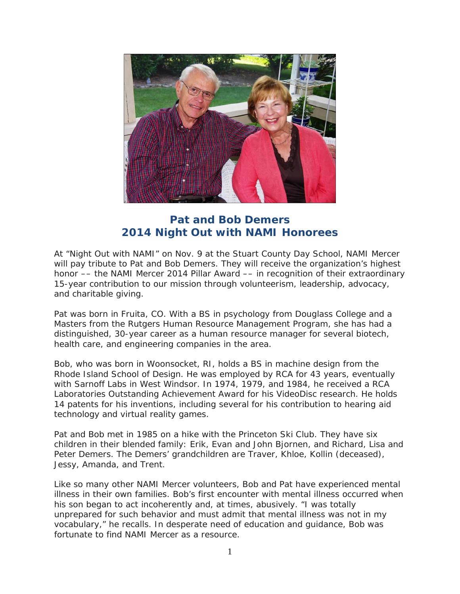

## **Pat and Bob Demers 2014 Night Out with NAMI Honorees**

At "Night Out with NAMI" on Nov. 9 at the Stuart County Day School, NAMI Mercer will pay tribute to Pat and Bob Demers. They will receive the organization's highest honor –– the NAMI Mercer 2014 Pillar Award –– in recognition of their extraordinary 15-year contribution to our mission through volunteerism, leadership, advocacy, and charitable giving.

Pat was born in Fruita, CO. With a BS in psychology from Douglass College and a Masters from the Rutgers Human Resource Management Program, she has had a distinguished, 30-year career as a human resource manager for several biotech, health care, and engineering companies in the area.

Bob, who was born in Woonsocket, RI, holds a BS in machine design from the Rhode Island School of Design. He was employed by RCA for 43 years, eventually with Sarnoff Labs in West Windsor. In 1974, 1979, and 1984, he received a RCA Laboratories Outstanding Achievement Award for his VideoDisc research. He holds 14 patents for his inventions, including several for his contribution to hearing aid technology and virtual reality games.

Pat and Bob met in 1985 on a hike with the Princeton Ski Club. They have six children in their blended family: Erik, Evan and John Bjornen, and Richard, Lisa and Peter Demers. The Demers' grandchildren are Traver, Khloe, Kollin (deceased), Jessy, Amanda, and Trent.

Like so many other NAMI Mercer volunteers, Bob and Pat have experienced mental illness in their own families. Bob's first encounter with mental illness occurred when his son began to act incoherently and, at times, abusively. "I was totally unprepared for such behavior and must admit that mental illness was not in my vocabulary," he recalls. In desperate need of education and guidance, Bob was fortunate to find NAMI Mercer as a resource.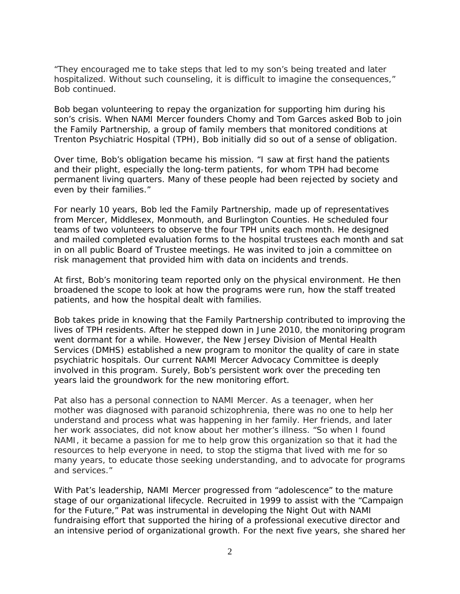"They encouraged me to take steps that led to my son's being treated and later hospitalized. Without such counseling, it is difficult to imagine the consequences," Bob continued.

Bob began volunteering to repay the organization for supporting him during his son's crisis. When NAMI Mercer founders Chomy and Tom Garces asked Bob to join the Family Partnership, a group of family members that monitored conditions at Trenton Psychiatric Hospital (TPH), Bob initially did so out of a sense of obligation.

Over time, Bob's obligation became his mission. "I saw at first hand the patients and their plight, especially the long-term patients, for whom TPH had become permanent living quarters. Many of these people had been rejected by society and even by their families."

For nearly 10 years, Bob led the Family Partnership, made up of representatives from Mercer, Middlesex, Monmouth, and Burlington Counties. He scheduled four teams of two volunteers to observe the four TPH units each month. He designed and mailed completed evaluation forms to the hospital trustees each month and sat in on all public Board of Trustee meetings. He was invited to join a committee on risk management that provided him with data on incidents and trends.

At first, Bob's monitoring team reported only on the physical environment. He then broadened the scope to look at how the programs were run, how the staff treated patients, and how the hospital dealt with families.

Bob takes pride in knowing that the Family Partnership contributed to improving the lives of TPH residents. After he stepped down in June 2010, the monitoring program went dormant for a while. However, the New Jersey Division of Mental Health Services (DMHS) established a new program to monitor the quality of care in state psychiatric hospitals. Our current NAMI Mercer Advocacy Committee is deeply involved in this program. Surely, Bob's persistent work over the preceding ten years laid the groundwork for the new monitoring effort.

Pat also has a personal connection to NAMI Mercer. As a teenager, when her mother was diagnosed with paranoid schizophrenia, there was no one to help her understand and process what was happening in her family. Her friends, and later her work associates, did not know about her mother's illness. "So when I found NAMI, it became a passion for me to help grow this organization so that it had the resources to help everyone in need, to stop the stigma that lived with me for so many years, to educate those seeking understanding, and to advocate for programs and services."

With Pat's leadership, NAMI Mercer progressed from "adolescence" to the mature stage of our organizational lifecycle. Recruited in 1999 to assist with the "Campaign for the Future," Pat was instrumental in developing the Night Out with NAMI fundraising effort that supported the hiring of a professional executive director and an intensive period of organizational growth. For the next five years, she shared her